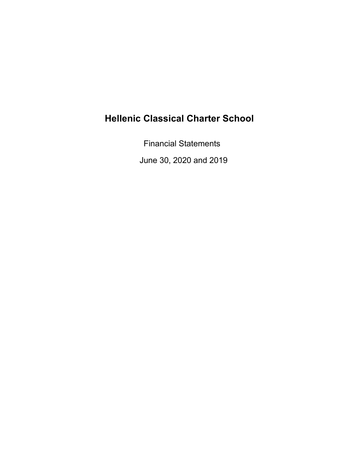Financial Statements

June 30, 2020 and 2019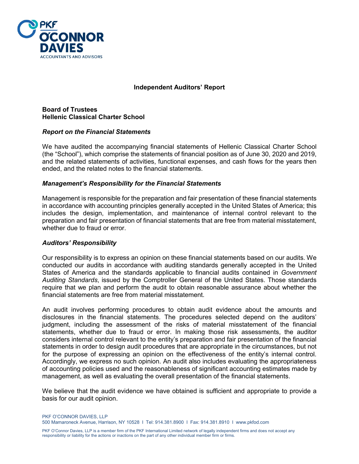

# **Independent Auditors' Report**

**Board of Trustees Hellenic Classical Charter School**

#### *Report on the Financial Statements*

We have audited the accompanying financial statements of Hellenic Classical Charter School (the "School"), which comprise the statements of financial position as of June 30, 2020 and 2019, and the related statements of activities, functional expenses, and cash flows for the years then ended, and the related notes to the financial statements.

#### *Management's Responsibility for the Financial Statements*

Management is responsible for the preparation and fair presentation of these financial statements in accordance with accounting principles generally accepted in the United States of America; this includes the design, implementation, and maintenance of internal control relevant to the preparation and fair presentation of financial statements that are free from material misstatement, whether due to fraud or error.

#### *Auditors' Responsibility*

Our responsibility is to express an opinion on these financial statements based on our audits. We conducted our audits in accordance with auditing standards generally accepted in the United States of America and the standards applicable to financial audits contained in *Government Auditing Standards*, issued by the Comptroller General of the United States. Those standards require that we plan and perform the audit to obtain reasonable assurance about whether the financial statements are free from material misstatement.

An audit involves performing procedures to obtain audit evidence about the amounts and disclosures in the financial statements. The procedures selected depend on the auditors' judgment, including the assessment of the risks of material misstatement of the financial statements, whether due to fraud or error. In making those risk assessments, the auditor considers internal control relevant to the entity's preparation and fair presentation of the financial statements in order to design audit procedures that are appropriate in the circumstances, but not for the purpose of expressing an opinion on the effectiveness of the entity's internal control. Accordingly, we express no such opinion. An audit also includes evaluating the appropriateness of accounting policies used and the reasonableness of significant accounting estimates made by management, as well as evaluating the overall presentation of the financial statements.

We believe that the audit evidence we have obtained is sufficient and appropriate to provide a basis for our audit opinion.

PKF O'Connor Davies, LLP is a member firm of the PKF International Limited network of legally independent firms and does not accept any responsibility or liability for the actions or inactions on the part of any other individual member firm or firms.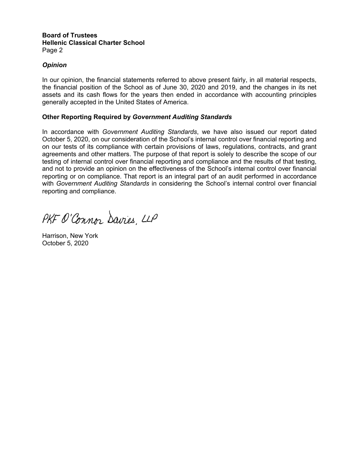#### **Board of Trustees Hellenic Classical Charter School** Page 2

*Opinion*

In our opinion, the financial statements referred to above present fairly, in all material respects, the financial position of the School as of June 30, 2020 and 2019, and the changes in its net assets and its cash flows for the years then ended in accordance with accounting principles generally accepted in the United States of America.

# **Other Reporting Required by** *Government Auditing Standards*

In accordance with *Government Auditing Standards*, we have also issued our report dated October 5, 2020, on our consideration of the School's internal control over financial reporting and on our tests of its compliance with certain provisions of laws, regulations, contracts, and grant agreements and other matters. The purpose of that report is solely to describe the scope of our testing of internal control over financial reporting and compliance and the results of that testing, and not to provide an opinion on the effectiveness of the School's internal control over financial reporting or on compliance. That report is an integral part of an audit performed in accordance with *Government Auditing Standards* in considering the School's internal control over financial reporting and compliance.

PKF O'Connor Davies, LLP

Harrison, New York October 5, 2020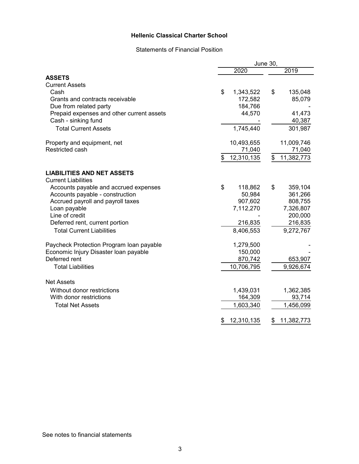#### Statements of Financial Position

|                                           | <b>June 30,</b>  |                  |  |  |
|-------------------------------------------|------------------|------------------|--|--|
|                                           | 2020             | 2019             |  |  |
| <b>ASSETS</b>                             |                  |                  |  |  |
| <b>Current Assets</b>                     |                  |                  |  |  |
| Cash                                      | \$<br>1,343,522  | \$<br>135,048    |  |  |
| Grants and contracts receivable           | 172,582          | 85,079           |  |  |
| Due from related party                    | 184,766          |                  |  |  |
| Prepaid expenses and other current assets | 44,570           | 41,473           |  |  |
| Cash - sinking fund                       |                  | 40,387           |  |  |
| <b>Total Current Assets</b>               | 1,745,440        | 301,987          |  |  |
| Property and equipment, net               | 10,493,655       | 11,009,746       |  |  |
| Restricted cash                           | 71,040           | 71,040           |  |  |
|                                           | 12,310,135<br>\$ | 11,382,773<br>\$ |  |  |
| <b>LIABILITIES AND NET ASSETS</b>         |                  |                  |  |  |
| <b>Current Liabilities</b>                |                  |                  |  |  |
| Accounts payable and accrued expenses     | \$<br>118,862    | \$<br>359,104    |  |  |
| Accounts payable - construction           | 50,984           | 361,266          |  |  |
| Accrued payroll and payroll taxes         | 907,602          | 808,755          |  |  |
| Loan payable                              | 7,112,270        | 7,326,807        |  |  |
| Line of credit                            |                  | 200,000          |  |  |
| Deferred rent, current portion            | 216,835          | 216,835          |  |  |
| <b>Total Current Liabilities</b>          | 8,406,553        | 9,272,767        |  |  |
| Paycheck Protection Program Ioan payable  | 1,279,500        |                  |  |  |
| Economic Injury Disaster Ioan payable     | 150,000          |                  |  |  |
| Deferred rent                             | 870,742          | 653,907          |  |  |
| <b>Total Liabilities</b>                  | 10,706,795       | 9,926,674        |  |  |
| <b>Net Assets</b>                         |                  |                  |  |  |
| Without donor restrictions                | 1,439,031        | 1,362,385        |  |  |
| With donor restrictions                   | 164,309          | 93,714           |  |  |
| <b>Total Net Assets</b>                   | 1,603,340        | 1,456,099        |  |  |
|                                           | 12,310,135<br>\$ | 11,382,773<br>\$ |  |  |

See notes to financial statements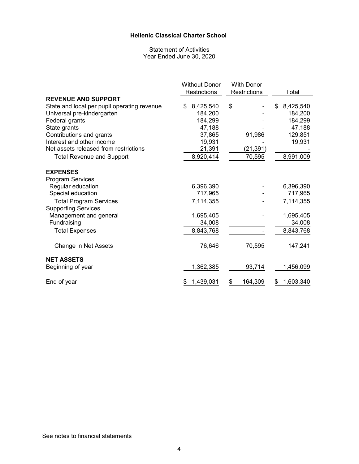#### Statement of Activities Year Ended June 30, 2020

|                                             | <b>Without Donor</b> | <b>With Donor</b> |                 |
|---------------------------------------------|----------------------|-------------------|-----------------|
|                                             | <b>Restrictions</b>  | Restrictions      | Total           |
| <b>REVENUE AND SUPPORT</b>                  |                      |                   |                 |
| State and local per pupil operating revenue | 8,425,540<br>\$.     | \$                | 8,425,540<br>S  |
| Universal pre-kindergarten                  | 184,200              |                   | 184,200         |
| Federal grants                              | 184,299              |                   | 184,299         |
| State grants                                | 47,188               |                   | 47,188          |
| Contributions and grants                    | 37,865               | 91,986            | 129,851         |
| Interest and other income                   | 19,931               |                   | 19,931          |
| Net assets released from restrictions       | 21,391               | (21, 391)         |                 |
| <b>Total Revenue and Support</b>            | 8,920,414            | 70,595            | 8,991,009       |
| <b>EXPENSES</b>                             |                      |                   |                 |
| <b>Program Services</b>                     |                      |                   |                 |
| Regular education                           | 6,396,390            |                   | 6,396,390       |
| Special education                           | 717,965              |                   | 717,965         |
| <b>Total Program Services</b>               | 7,114,355            |                   | 7,114,355       |
| <b>Supporting Services</b>                  |                      |                   |                 |
| Management and general                      | 1,695,405            |                   | 1,695,405       |
| Fundraising                                 | 34,008               |                   | 34,008          |
| <b>Total Expenses</b>                       | 8,843,768            |                   | 8,843,768       |
| Change in Net Assets                        | 76,646               | 70,595            | 147,241         |
| <b>NET ASSETS</b>                           |                      |                   |                 |
| Beginning of year                           | 1,362,385            | 93,714            | 1,456,099       |
| End of year                                 | 1,439,031<br>\$      | 164,309<br>\$     | 1,603,340<br>\$ |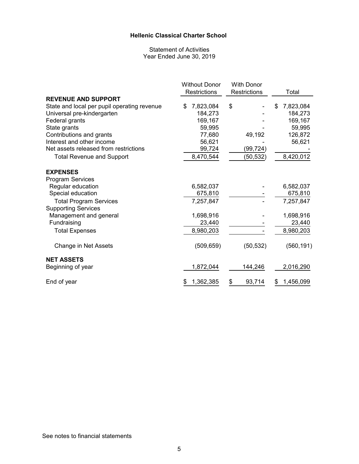#### Statement of Activities Year Ended June 30, 2019

|                                             | <b>Without Donor</b> | <b>With Donor</b> |                 |
|---------------------------------------------|----------------------|-------------------|-----------------|
|                                             | <b>Restrictions</b>  | Restrictions      | Total           |
| <b>REVENUE AND SUPPORT</b>                  |                      |                   |                 |
| State and local per pupil operating revenue | 7,823,084<br>\$.     | \$                | 7,823,084<br>S  |
| Universal pre-kindergarten                  | 184,273              |                   | 184,273         |
| Federal grants                              | 169,167              |                   | 169,167         |
| State grants                                | 59,995               |                   | 59,995          |
| Contributions and grants                    | 77,680               | 49,192            | 126,872         |
| Interest and other income                   | 56,621               |                   | 56,621          |
| Net assets released from restrictions       | 99,724               | (99,724)          |                 |
| <b>Total Revenue and Support</b>            | 8,470,544            | (50, 532)         | 8,420,012       |
| <b>EXPENSES</b>                             |                      |                   |                 |
| <b>Program Services</b>                     |                      |                   |                 |
| Regular education                           | 6,582,037            |                   | 6,582,037       |
| Special education                           | 675,810              |                   | 675,810         |
| <b>Total Program Services</b>               | 7,257,847            |                   | 7,257,847       |
| <b>Supporting Services</b>                  |                      |                   |                 |
| Management and general                      | 1,698,916            |                   | 1,698,916       |
| Fundraising                                 | 23,440               |                   | 23,440          |
| <b>Total Expenses</b>                       | 8,980,203            |                   | 8,980,203       |
| Change in Net Assets                        | (509, 659)           | (50, 532)         | (560, 191)      |
| <b>NET ASSETS</b>                           |                      |                   |                 |
| Beginning of year                           | 1,872,044            | 144,246           | 2,016,290       |
| End of year                                 | 1,362,385<br>\$      | 93,714<br>\$      | 1,456,099<br>\$ |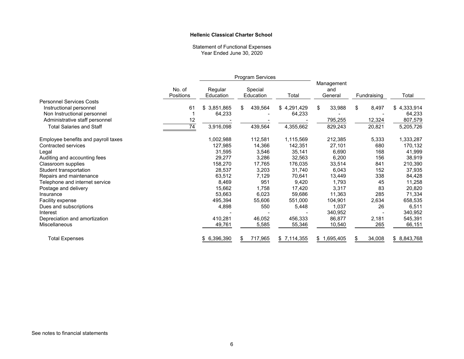#### Statement of Functional Expenses Year Ended June 30, 2020

|                                                                                                                                                                |                     | Program Services                   |                          |                                    |                                    |                                 |                                               |
|----------------------------------------------------------------------------------------------------------------------------------------------------------------|---------------------|------------------------------------|--------------------------|------------------------------------|------------------------------------|---------------------------------|-----------------------------------------------|
|                                                                                                                                                                | No. of<br>Positions | Regular<br>Education               | Special<br>Education     | Total                              | Management<br>and<br>General       | Fundraising                     | Total                                         |
| <b>Personnel Services Costs</b><br>Instructional personnel<br>Non Instructional personnel<br>Administrative staff personnel<br><b>Total Salaries and Staff</b> | 61<br>12<br>74      | \$3,851,865<br>64,233<br>3,916,098 | \$<br>439,564<br>439,564 | \$4,291,429<br>64,233<br>4,355,662 | 33,988<br>\$<br>795,255<br>829,243 | \$<br>8,497<br>12,324<br>20,821 | \$4,333,914<br>64,233<br>807,579<br>5,205,726 |
| Employee benefits and payroll taxes<br>Contracted services                                                                                                     |                     | 1,002,988<br>127,985               | 112,581<br>14,366        | 1,115,569<br>142,351               | 212,385<br>27,101                  | 5,333<br>680                    | 1,333,287<br>170,132                          |
| Legal<br>Auditing and accounting fees                                                                                                                          |                     | 31,595<br>29,277                   | 3,546<br>3,286           | 35,141<br>32,563                   | 6,690<br>6,200                     | 168<br>156                      | 41,999<br>38,919                              |
| Classroom supplies<br>Student transportation                                                                                                                   |                     | 158,270<br>28,537                  | 17,765<br>3,203          | 176,035<br>31,740                  | 33,514<br>6,043                    | 841<br>152<br>338               | 210,390<br>37,935                             |
| Repairs and maintenance<br>Telephone and internet service<br>Postage and delivery                                                                              |                     | 63,512<br>8,469<br>15,662          | 7,129<br>951<br>1,758    | 70,641<br>9,420<br>17,420          | 13,449<br>1,793<br>3,317           | 45<br>83                        | 84,428<br>11,258<br>20,820                    |
| Insurance<br>Facility expense                                                                                                                                  |                     | 53,663<br>495,394                  | 6,023<br>55,606          | 59,686<br>551,000                  | 11,363<br>104,901                  | 285<br>2,634                    | 71,334<br>658,535                             |
| Dues and subscriptions<br>Interest                                                                                                                             |                     | 4,898                              | 550                      | 5,448                              | 1,037<br>340,952                   | 26                              | 6,511<br>340,952                              |
| Depreciation and amortization<br><b>Miscellaneous</b>                                                                                                          |                     | 410,281<br>49,761                  | 46,052<br>5,585          | 456,333<br>55,346                  | 86,877<br>10,540                   | 2,181<br>265                    | 545,391<br>66,151                             |
| <b>Total Expenses</b>                                                                                                                                          |                     | \$6,396,390                        | 717,965<br>S.            | \$7,114,355                        | \$1,695,405                        | 34,008<br>S.                    | \$8,843,768                                   |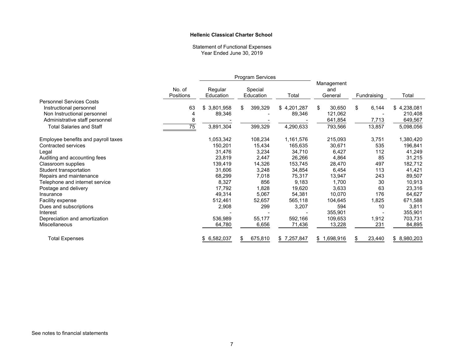#### Statement of Functional Expenses Year Ended June 30, 2019

|                                                                                                                                                                |                     | Program Services                   |     |                       |                                    |                                               |    |                          |                                                |
|----------------------------------------------------------------------------------------------------------------------------------------------------------------|---------------------|------------------------------------|-----|-----------------------|------------------------------------|-----------------------------------------------|----|--------------------------|------------------------------------------------|
|                                                                                                                                                                | No. of<br>Positions | Regular<br>Education               |     | Special<br>Education  | Total                              | Management<br>and<br>General                  |    | Fundraising              | Total                                          |
| <b>Personnel Services Costs</b><br>Instructional personnel<br>Non Instructional personnel<br>Administrative staff personnel<br><b>Total Salaries and Staff</b> | 63<br>4<br>8<br>75  | \$3,801,958<br>89,346<br>3,891,304 | \$. | 399,329<br>399,329    | \$4,201,287<br>89,346<br>4,290,633 | \$<br>30,650<br>121,062<br>641,854<br>793,566 | \$ | 6,144<br>7,713<br>13,857 | \$4,238,081<br>210,408<br>649,567<br>5,098,056 |
| Employee benefits and payroll taxes<br>Contracted services                                                                                                     |                     | 1,053,342<br>150,201               |     | 108,234<br>15,434     | 1,161,576<br>165,635               | 215,093<br>30,671                             |    | 3,751<br>535             | 1,380,420<br>196,841                           |
| Legal<br>Auditing and accounting fees                                                                                                                          |                     | 31,476<br>23,819                   |     | 3,234<br>2,447        | 34,710<br>26,266                   | 6,427<br>4,864                                |    | 112<br>85                | 41,249<br>31,215                               |
| Classroom supplies<br>Student transportation                                                                                                                   |                     | 139,419<br>31,606                  |     | 14,326<br>3,248       | 153,745<br>34,854                  | 28,470<br>6,454                               |    | 497<br>113               | 182,712<br>41,421                              |
| Repairs and maintenance<br>Telephone and internet service<br>Postage and delivery                                                                              |                     | 68,299<br>8,327<br>17,792          |     | 7,018<br>856<br>1,828 | 75,317<br>9,183<br>19,620          | 13,947<br>1,700<br>3,633                      |    | 243<br>30<br>63          | 89,507<br>10,913<br>23,316                     |
| Insurance<br>Facility expense                                                                                                                                  |                     | 49,314<br>512,461                  |     | 5,067<br>52,657       | 54,381<br>565,118                  | 10,070<br>104,645                             |    | 176<br>1,825             | 64,627<br>671,588                              |
| Dues and subscriptions<br>Interest                                                                                                                             |                     | 2,908                              |     | 299                   | 3,207                              | 594<br>355,901                                |    | 10                       | 3,811<br>355,901                               |
| Depreciation and amortization<br>Miscellaneous                                                                                                                 |                     | 536,989<br>64,780                  |     | 55,177<br>6,656       | 592,166<br>71,436                  | 109,653<br>13,228                             |    | 1,912<br>231             | 703,731<br>84,895                              |
| <b>Total Expenses</b>                                                                                                                                          |                     | \$6,582,037                        | \$. | 675,810               | \$7,257,847                        | \$1,698,916                                   | S  | 23,440                   | \$8,980,203                                    |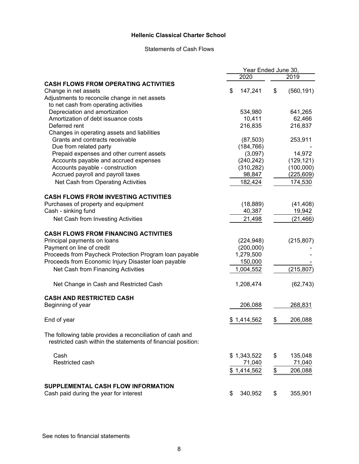#### Statements of Cash Flows

|                                                                                                                           | Year Ended June 30, |                         |    |            |
|---------------------------------------------------------------------------------------------------------------------------|---------------------|-------------------------|----|------------|
|                                                                                                                           |                     | 2020                    |    | 2019       |
| <b>CASH FLOWS FROM OPERATING ACTIVITIES</b>                                                                               |                     |                         |    |            |
| Change in net assets                                                                                                      | \$                  | 147,241                 | \$ | (560, 191) |
| Adjustments to reconcile change in net assets                                                                             |                     |                         |    |            |
| to net cash from operating activities                                                                                     |                     |                         |    |            |
| Depreciation and amortization                                                                                             |                     | 534,980                 |    | 641,265    |
| Amortization of debt issuance costs                                                                                       |                     | 10,411                  |    | 62,466     |
| Deferred rent                                                                                                             |                     | 216,835                 |    | 216,837    |
| Changes in operating assets and liabilities<br>Grants and contracts receivable                                            |                     |                         |    | 253,911    |
| Due from related party                                                                                                    |                     | (87, 503)<br>(184, 766) |    |            |
| Prepaid expenses and other current assets                                                                                 |                     | (3,097)                 |    | 14,972     |
| Accounts payable and accrued expenses                                                                                     |                     | (240, 242)              |    | (129, 121) |
| Accounts payable - construction                                                                                           |                     | (310, 282)              |    | (100,000)  |
| Accrued payroll and payroll taxes                                                                                         |                     | 98,847                  |    | (225, 609) |
| Net Cash from Operating Activities                                                                                        |                     | 182,424                 |    | 174,530    |
|                                                                                                                           |                     |                         |    |            |
| <b>CASH FLOWS FROM INVESTING ACTIVITIES</b>                                                                               |                     |                         |    |            |
| Purchases of property and equipment                                                                                       |                     | (18, 889)               |    | (41, 408)  |
| Cash - sinking fund                                                                                                       |                     | 40,387                  |    | 19,942     |
| Net Cash from Investing Activities                                                                                        |                     | 21,498                  |    | (21, 466)  |
|                                                                                                                           |                     |                         |    |            |
| <b>CASH FLOWS FROM FINANCING ACTIVITIES</b>                                                                               |                     |                         |    |            |
| Principal payments on loans                                                                                               |                     | (224, 948)              |    | (215, 807) |
| Payment on line of credit                                                                                                 |                     | (200,000)               |    |            |
| Proceeds from Paycheck Protection Program Ioan payable                                                                    |                     | 1,279,500               |    |            |
| Proceeds from Economic Injury Disaster Ioan payable                                                                       |                     | 150,000                 |    |            |
| Net Cash from Financing Activities                                                                                        |                     | 1,004,552               |    | (215, 807) |
|                                                                                                                           |                     |                         |    |            |
| Net Change in Cash and Restricted Cash                                                                                    |                     | 1,208,474               |    | (62, 743)  |
|                                                                                                                           |                     |                         |    |            |
| <b>CASH AND RESTRICTED CASH</b>                                                                                           |                     |                         |    |            |
| Beginning of year                                                                                                         |                     | 206,088                 |    | 268,831    |
|                                                                                                                           |                     |                         |    |            |
| End of year                                                                                                               |                     | \$1,414,562             | \$ | 206,088    |
|                                                                                                                           |                     |                         |    |            |
| The following table provides a reconciliation of cash and<br>restricted cash within the statements of financial position: |                     |                         |    |            |
|                                                                                                                           |                     |                         |    |            |
| Cash                                                                                                                      |                     | \$1,343,522             | \$ | 135,048    |
| Restricted cash                                                                                                           |                     | 71,040                  |    | 71,040     |
|                                                                                                                           |                     | \$1,414,562             | \$ | 206,088    |
|                                                                                                                           |                     |                         |    |            |
| SUPPLEMENTAL CASH FLOW INFORMATION                                                                                        |                     |                         |    |            |
| Cash paid during the year for interest                                                                                    | \$                  | 340,952                 | \$ | 355,901    |
|                                                                                                                           |                     |                         |    |            |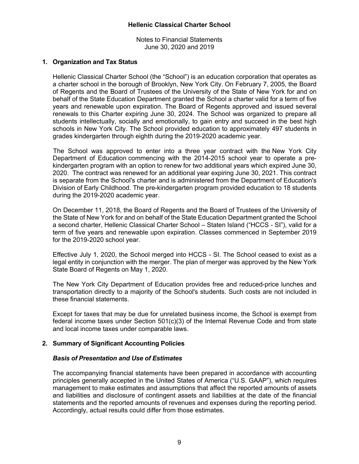# **1. Organization and Tax Status**

Hellenic Classical Charter School (the "School") is an education corporation that operates as a charter school in the borough of Brooklyn, New York City. On February 7, 2005, the Board of Regents and the Board of Trustees of the University of the State of New York for and on behalf of the State Education Department granted the School a charter valid for a term of five years and renewable upon expiration. The Board of Regents approved and issued several renewals to this Charter expiring June 30, 2024. The School was organized to prepare all students intellectually, socially and emotionally, to gain entry and succeed in the best high schools in New York City. The School provided education to approximately 497 students in grades kindergarten through eighth during the 2019-2020 academic year.

The School was approved to enter into a three year contract with the New York City Department of Education commencing with the 2014-2015 school year to operate a prekindergarten program with an option to renew for two additional years which expired June 30, 2020. The contract was renewed for an additional year expiring June 30, 2021. This contract is separate from the School's charter and is administered from the Department of Education's Division of Early Childhood. The pre-kindergarten program provided education to 18 students during the 2019-2020 academic year.

On December 11, 2018, the Board of Regents and the Board of Trustees of the University of the State of New York for and on behalf of the State Education Department granted the School a second charter, Hellenic Classical Charter School – Staten Island ("HCCS - SI"), valid for a term of five years and renewable upon expiration. Classes commenced in September 2019 for the 2019-2020 school year.

Effective July 1, 2020, the School merged into HCCS - SI. The School ceased to exist as a legal entity in conjunction with the merger. The plan of merger was approved by the New York State Board of Regents on May 1, 2020.

The New York City Department of Education provides free and reduced-price lunches and transportation directly to a majority of the School's students. Such costs are not included in these financial statements.

Except for taxes that may be due for unrelated business income, the School is exempt from federal income taxes under Section 501(c)(3) of the Internal Revenue Code and from state and local income taxes under comparable laws.

# **2. Summary of Significant Accounting Policies**

#### *Basis of Presentation and Use of Estimates*

The accompanying financial statements have been prepared in accordance with accounting principles generally accepted in the United States of America ("U.S. GAAP"), which requires management to make estimates and assumptions that affect the reported amounts of assets and liabilities and disclosure of contingent assets and liabilities at the date of the financial statements and the reported amounts of revenues and expenses during the reporting period. Accordingly, actual results could differ from those estimates.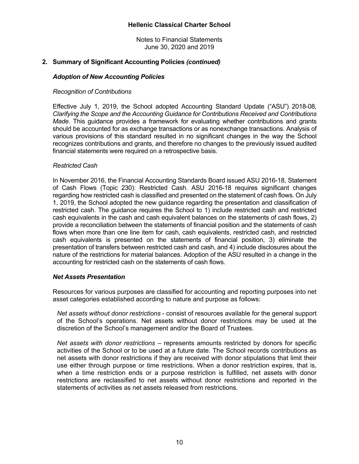Notes to Financial Statements June 30, 2020 and 2019

# **2. Summary of Significant Accounting Policies** *(continued)*

#### *Adoption of New Accounting Policies*

#### *Recognition of Contributions*

Effective July 1, 2019, the School adopted Accounting Standard Update ("ASU") 2018-08*, Clarifying the Scope and the Accounting Guidance for Contributions Received and Contributions Made.* This guidance provides a framework for evaluating whether contributions and grants should be accounted for as exchange transactions or as nonexchange transactions. Analysis of various provisions of this standard resulted in no significant changes in the way the School recognizes contributions and grants, and therefore no changes to the previously issued audited financial statements were required on a retrospective basis.

#### *Restricted Cash*

In November 2016, the Financial Accounting Standards Board issued ASU 2016-18, Statement of Cash Flows (Topic 230): Restricted Cash. ASU 2016-18 requires significant changes regarding how restricted cash is classified and presented on the statement of cash flows. On July 1, 2019, the School adopted the new guidance regarding the presentation and classification of restricted cash. The guidance requires the School to 1) include restricted cash and restricted cash equivalents in the cash and cash equivalent balances on the statements of cash flows, 2) provide a reconciliation between the statements of financial position and the statements of cash flows when more than one line item for cash, cash equivalents, restricted cash, and restricted cash equivalents is presented on the statements of financial position, 3) eliminate the presentation of transfers between restricted cash and cash, and 4) include disclosures about the nature of the restrictions for material balances. Adoption of the ASU resulted in a change in the accounting for restricted cash on the statements of cash flows.

#### *Net Assets Presentation*

Resources for various purposes are classified for accounting and reporting purposes into net asset categories established according to nature and purpose as follows:

*Net assets without donor restrictions* - consist of resources available for the general support of the School's operations. Net assets without donor restrictions may be used at the discretion of the School's management and/or the Board of Trustees.

*Net assets with donor restrictions* – represents amounts restricted by donors for specific activities of the School or to be used at a future date. The School records contributions as net assets with donor restrictions if they are received with donor stipulations that limit their use either through purpose or time restrictions. When a donor restriction expires, that is, when a time restriction ends or a purpose restriction is fulfilled, net assets with donor restrictions are reclassified to net assets without donor restrictions and reported in the statements of activities as net assets released from restrictions.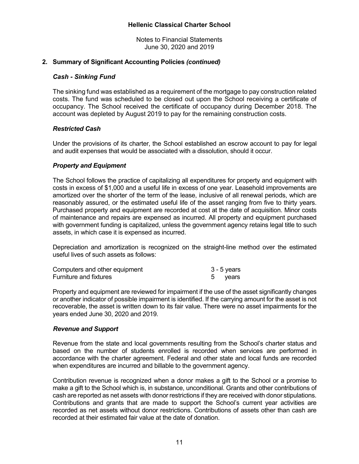# **2. Summary of Significant Accounting Policies** *(continued)*

#### *Cash - Sinking Fund*

The sinking fund was established as a requirement of the mortgage to pay construction related costs. The fund was scheduled to be closed out upon the School receiving a certificate of occupancy. The School received the certificate of occupancy during December 2018. The account was depleted by August 2019 to pay for the remaining construction costs.

# *Restricted Cash*

Under the provisions of its charter, the School established an escrow account to pay for legal and audit expenses that would be associated with a dissolution, should it occur.

# *Property and Equipment*

The School follows the practice of capitalizing all expenditures for property and equipment with costs in excess of \$1,000 and a useful life in excess of one year. Leasehold improvements are amortized over the shorter of the term of the lease, inclusive of all renewal periods, which are reasonably assured, or the estimated useful life of the asset ranging from five to thirty years. Purchased property and equipment are recorded at cost at the date of acquisition. Minor costs of maintenance and repairs are expensed as incurred. All property and equipment purchased with government funding is capitalized, unless the government agency retains legal title to such assets, in which case it is expensed as incurred.

Depreciation and amortization is recognized on the straight-line method over the estimated useful lives of such assets as follows:

| Computers and other equipment | 3 - 5 years |
|-------------------------------|-------------|
| <b>Furniture and fixtures</b> | 5 years     |

Property and equipment are reviewed for impairment if the use of the asset significantly changes or another indicator of possible impairment is identified. If the carrying amount for the asset is not recoverable, the asset is written down to its fair value. There were no asset impairments for the years ended June 30, 2020 and 2019.

#### *Revenue and Support*

Revenue from the state and local governments resulting from the School's charter status and based on the number of students enrolled is recorded when services are performed in accordance with the charter agreement. Federal and other state and local funds are recorded when expenditures are incurred and billable to the government agency.

Contribution revenue is recognized when a donor makes a gift to the School or a promise to make a gift to the School which is, in substance, unconditional. Grants and other contributions of cash are reported as net assets with donor restrictions if they are received with donor stipulations. Contributions and grants that are made to support the School's current year activities are recorded as net assets without donor restrictions. Contributions of assets other than cash are recorded at their estimated fair value at the date of donation.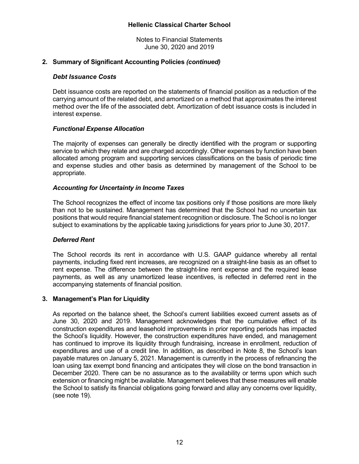# **2. Summary of Significant Accounting Policies** *(continued)*

#### *Debt Issuance Costs*

Debt issuance costs are reported on the statements of financial position as a reduction of the carrying amount of the related debt, and amortized on a method that approximates the interest method over the life of the associated debt. Amortization of debt issuance costs is included in interest expense.

# *Functional Expense Allocation*

The majority of expenses can generally be directly identified with the program or supporting service to which they relate and are charged accordingly. Other expenses by function have been allocated among program and supporting services classifications on the basis of periodic time and expense studies and other basis as determined by management of the School to be appropriate.

# *Accounting for Uncertainty in Income Taxes*

The School recognizes the effect of income tax positions only if those positions are more likely than not to be sustained. Management has determined that the School had no uncertain tax positions that would require financial statement recognition or disclosure. The School is no longer subject to examinations by the applicable taxing jurisdictions for years prior to June 30, 2017.

#### *Deferred Rent*

The School records its rent in accordance with U.S. GAAP guidance whereby all rental payments, including fixed rent increases, are recognized on a straight-line basis as an offset to rent expense. The difference between the straight-line rent expense and the required lease payments, as well as any unamortized lease incentives, is reflected in deferred rent in the accompanying statements of financial position.

#### **3. Management's Plan for Liquidity**

As reported on the balance sheet, the School's current liabilities exceed current assets as of June 30, 2020 and 2019. Management acknowledges that the cumulative effect of its construction expenditures and leasehold improvements in prior reporting periods has impacted the School's liquidity. However, the construction expenditures have ended, and management has continued to improve its liquidity through fundraising, increase in enrollment, reduction of expenditures and use of a credit line. In addition, as described in Note 8, the School's loan payable matures on January 5, 2021. Management is currently in the process of refinancing the loan using tax exempt bond financing and anticipates they will close on the bond transaction in December 2020. There can be no assurance as to the availability or terms upon which such extension or financing might be available. Management believes that these measures will enable the School to satisfy its financial obligations going forward and allay any concerns over liquidity, (see note 19).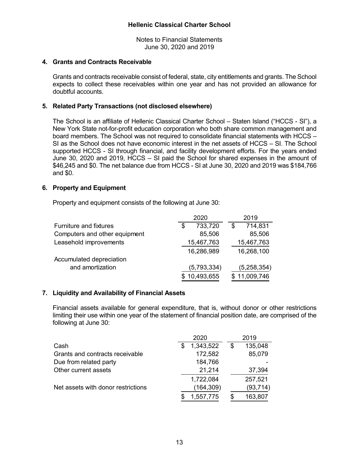#### **4. Grants and Contracts Receivable**

Grants and contracts receivable consist of federal, state, city entitlements and grants. The School expects to collect these receivables within one year and has not provided an allowance for doubtful accounts.

# **5. Related Party Transactions (not disclosed elsewhere)**

The School is an affiliate of Hellenic Classical Charter School – Staten Island ("HCCS - SI"), a New York State not-for-profit education corporation who both share common management and board members. The School was not required to consolidate financial statements with HCCS – SI as the School does not have economic interest in the net assets of HCCS – SI. The School supported HCCS - SI through financial, and facility development efforts. For the years ended June 30, 2020 and 2019, HCCS – SI paid the School for shared expenses in the amount of \$46,245 and \$0. The net balance due from HCCS - SI at June 30, 2020 and 2019 was \$184,766 and \$0.

# **6. Property and Equipment**

Property and equipment consists of the following at June 30:

|                               |   | 2020        |            |               |  | 2019 |
|-------------------------------|---|-------------|------------|---------------|--|------|
| <b>Furniture and fixtures</b> | S | 733,720     | S          | 714,831       |  |      |
| Computers and other equipment |   | 85,506      |            | 85,506        |  |      |
| Leasehold improvements        |   | 15,467,763  | 15,467,763 |               |  |      |
|                               |   | 16,286,989  |            | 16,268,100    |  |      |
| Accumulated depreciation      |   |             |            |               |  |      |
| and amortization              |   | (5,793,334) |            | (5, 258, 354) |  |      |
|                               |   | 10,493,655  |            | \$11,009,746  |  |      |

#### **7. Liquidity and Availability of Financial Assets**

Financial assets available for general expenditure, that is, without donor or other restrictions limiting their use within one year of the statement of financial position date, are comprised of the following at June 30:

|                                    | 2020      | 2019 |           |  |
|------------------------------------|-----------|------|-----------|--|
| Cash                               | 1,343,522 | S    | 135,048   |  |
| Grants and contracts receivable    | 172,582   |      | 85,079    |  |
| Due from related party             | 184,766   |      |           |  |
| Other current assets               | 21,214    |      | 37,394    |  |
|                                    | 1,722,084 |      | 257,521   |  |
| Net assets with donor restrictions | (164,309) |      | (93, 714) |  |
|                                    | 1,557,775 |      | 163,807   |  |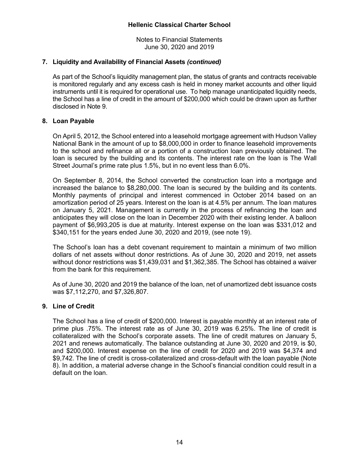# **7. Liquidity and Availability of Financial Assets** *(continued)*

As part of the School's liquidity management plan, the status of grants and contracts receivable is monitored regularly and any excess cash is held in money market accounts and other liquid instruments until it is required for operational use. To help manage unanticipated liquidity needs, the School has a line of credit in the amount of \$200,000 which could be drawn upon as further disclosed in Note 9.

# **8. Loan Payable**

On April 5, 2012, the School entered into a leasehold mortgage agreement with Hudson Valley National Bank in the amount of up to \$8,000,000 in order to finance leasehold improvements to the school and refinance all or a portion of a construction loan previously obtained. The loan is secured by the building and its contents. The interest rate on the loan is The Wall Street Journal's prime rate plus 1.5%, but in no event less than 6.0%.

On September 8, 2014, the School converted the construction loan into a mortgage and increased the balance to \$8,280,000. The loan is secured by the building and its contents. Monthly payments of principal and interest commenced in October 2014 based on an amortization period of 25 years. Interest on the loan is at 4.5% per annum. The loan matures on January 5, 2021. Management is currently in the process of refinancing the loan and anticipates they will close on the loan in December 2020 with their existing lender. A balloon payment of \$6,993,205 is due at maturity. Interest expense on the loan was \$331,012 and \$340,151 for the years ended June 30, 2020 and 2019, (see note 19).

The School's loan has a debt covenant requirement to maintain a minimum of two million dollars of net assets without donor restrictions. As of June 30, 2020 and 2019, net assets without donor restrictions was \$1,439,031 and \$1,362,385. The School has obtained a waiver from the bank for this requirement.

As of June 30, 2020 and 2019 the balance of the loan, net of unamortized debt issuance costs was \$7,112,270, and \$7,326,807.

#### **9. Line of Credit**

The School has a line of credit of \$200,000. Interest is payable monthly at an interest rate of prime plus .75%. The interest rate as of June 30, 2019 was 6.25%. The line of credit is collateralized with the School's corporate assets. The line of credit matures on January 5, 2021 and renews automatically. The balance outstanding at June 30, 2020 and 2019, is \$0, and \$200,000. Interest expense on the line of credit for 2020 and 2019 was \$4,374 and \$9,742. The line of credit is cross-collateralized and cross-default with the loan payable (Note 8). In addition, a material adverse change in the School's financial condition could result in a default on the loan.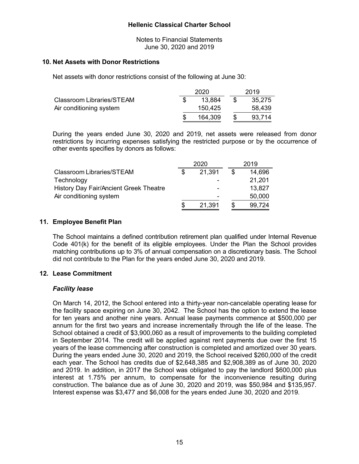# **10. Net Assets with Donor Restrictions**

Net assets with donor restrictions consist of the following at June 30:

|                                  | 2020    |     | 2019   |
|----------------------------------|---------|-----|--------|
| <b>Classroom Libraries/STEAM</b> | 13.884  |     | 35,275 |
| Air conditioning system          | 150,425 |     | 58,439 |
|                                  | 164.309 | \$. | 93.714 |

During the years ended June 30, 2020 and 2019, net assets were released from donor restrictions by incurring expenses satisfying the restricted purpose or by the occurrence of other events specifies by donors as follows:

|                                               |    | 2020   | 2019   |
|-----------------------------------------------|----|--------|--------|
| Classroom Libraries/STEAM                     | \$ | 21,391 | 14,696 |
| Technology                                    |    |        | 21,201 |
| <b>History Day Fair/Ancient Greek Theatre</b> |    |        | 13,827 |
| Air conditioning system                       |    |        | 50,000 |
|                                               | S  | 21,391 | 99,724 |

# **11. Employee Benefit Plan**

The School maintains a defined contribution retirement plan qualified under Internal Revenue Code 401(k) for the benefit of its eligible employees. Under the Plan the School provides matching contributions up to 3% of annual compensation on a discretionary basis. The School did not contribute to the Plan for the years ended June 30, 2020 and 2019.

# **12. Lease Commitment**

# *Facility lease*

On March 14, 2012, the School entered into a thirty-year non-cancelable operating lease for the facility space expiring on June 30, 2042. The School has the option to extend the lease for ten years and another nine years. Annual lease payments commence at \$500,000 per annum for the first two years and increase incrementally through the life of the lease. The School obtained a credit of \$3,900,060 as a result of improvements to the building completed in September 2014. The credit will be applied against rent payments due over the first 15 years of the lease commencing after construction is completed and amortized over 30 years. During the years ended June 30, 2020 and 2019, the School received \$260,000 of the credit each year. The School has credits due of \$2,648,385 and \$2,908,389 as of June 30, 2020 and 2019. In addition, in 2017 the School was obligated to pay the landlord \$600,000 plus interest at 1.75% per annum, to compensate for the inconvenience resulting during construction. The balance due as of June 30, 2020 and 2019, was \$50,984 and \$135,957. Interest expense was \$3,477 and \$6,008 for the years ended June 30, 2020 and 2019.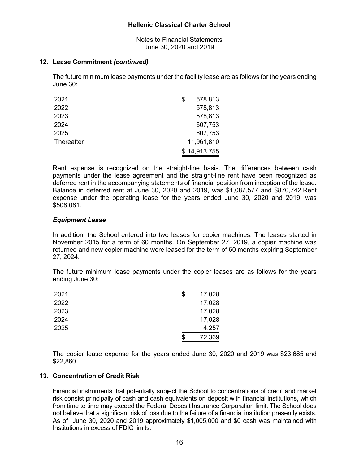# **12. Lease Commitment** *(continued)*

The future minimum lease payments under the facility lease are as follows for the years ending June 30:

| 2021       | \$<br>578,813 |
|------------|---------------|
| 2022       | 578,813       |
| 2023       | 578,813       |
| 2024       | 607,753       |
| 2025       | 607,753       |
| Thereafter | 11,961,810    |
|            | \$14,913,755  |

Rent expense is recognized on the straight-line basis. The differences between cash payments under the lease agreement and the straight-line rent have been recognized as deferred rent in the accompanying statements of financial position from inception of the lease. Balance in deferred rent at June 30, 2020 and 2019, was \$1,087,577 and \$870,742.Rent expense under the operating lease for the years ended June 30, 2020 and 2019, was \$508,081.

# *Equipment Lease*

In addition, the School entered into two leases for copier machines. The leases started in November 2015 for a term of 60 months. On September 27, 2019, a copier machine was returned and new copier machine were leased for the term of 60 months expiring September 27, 2024.

The future minimum lease payments under the copier leases are as follows for the years ending June 30:

| 2021 | \$<br>17,028 |
|------|--------------|
| 2022 | 17,028       |
| 2023 | 17,028       |
| 2024 | 17,028       |
| 2025 | 4,257        |
|      | \$<br>72,369 |

The copier lease expense for the years ended June 30, 2020 and 2019 was \$23,685 and \$22,860.

# **13. Concentration of Credit Risk**

Financial instruments that potentially subject the School to concentrations of credit and market risk consist principally of cash and cash equivalents on deposit with financial institutions, which from time to time may exceed the Federal Deposit Insurance Corporation limit. The School does not believe that a significant risk of loss due to the failure of a financial institution presently exists. As of June 30, 2020 and 2019 approximately \$1,005,000 and \$0 cash was maintained with Institutions in excess of FDIC limits.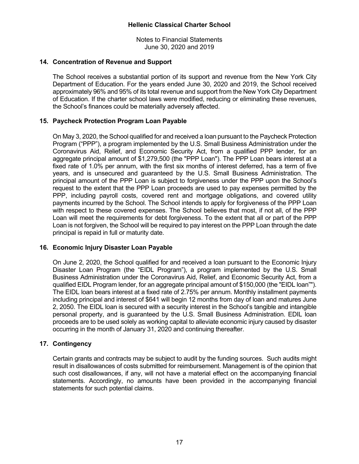# **14. Concentration of Revenue and Support**

The School receives a substantial portion of its support and revenue from the New York City Department of Education. For the years ended June 30, 2020 and 2019, the School received approximately 96% and 95% of its total revenue and support from the New York City Department of Education. If the charter school laws were modified, reducing or eliminating these revenues, the School's finances could be materially adversely affected.

# **15. Paycheck Protection Program Loan Payable**

On May 3, 2020, the School qualified for and received a loan pursuant to the Paycheck Protection Program ("PPP"), a program implemented by the U.S. Small Business Administration under the Coronavirus Aid, Relief, and Economic Security Act, from a qualified PPP lender, for an aggregate principal amount of \$1,279,500 (the "PPP Loan"). The PPP Loan bears interest at a fixed rate of 1.0% per annum, with the first six months of interest deferred, has a term of five years, and is unsecured and guaranteed by the U.S. Small Business Administration. The principal amount of the PPP Loan is subject to forgiveness under the PPP upon the School's request to the extent that the PPP Loan proceeds are used to pay expenses permitted by the PPP, including payroll costs, covered rent and mortgage obligations, and covered utility payments incurred by the School. The School intends to apply for forgiveness of the PPP Loan with respect to these covered expenses. The School believes that most, if not all, of the PPP Loan will meet the requirements for debt forgiveness. To the extent that all or part of the PPP Loan is not forgiven, the School will be required to pay interest on the PPP Loan through the date principal is repaid in full or maturity date.

#### **16. Economic Injury Disaster Loan Payable**

On June 2, 2020, the School qualified for and received a loan pursuant to the Economic Injury Disaster Loan Program (the "EIDL Program"), a program implemented by the U.S. Small Business Administration under the Coronavirus Aid, Relief, and Economic Security Act, from a qualified EIDL Program lender, for an aggregate principal amount of \$150,000 (the "EIDL loan""). The EIDL loan bears interest at a fixed rate of 2.75% per annum. Monthly installment payments including principal and interest of \$641 will begin 12 months from day of loan and matures June 2, 2050. The EIDL loan is secured with a security interest in the School's tangible and intangible personal property, and is guaranteed by the U.S. Small Business Administration. EDIL loan proceeds are to be used solely as working capital to alleviate economic injury caused by disaster occurring in the month of January 31, 2020 and continuing thereafter.

#### **17. Contingency**

Certain grants and contracts may be subject to audit by the funding sources. Such audits might result in disallowances of costs submitted for reimbursement. Management is of the opinion that such cost disallowances, if any, will not have a material effect on the accompanying financial statements. Accordingly, no amounts have been provided in the accompanying financial statements for such potential claims.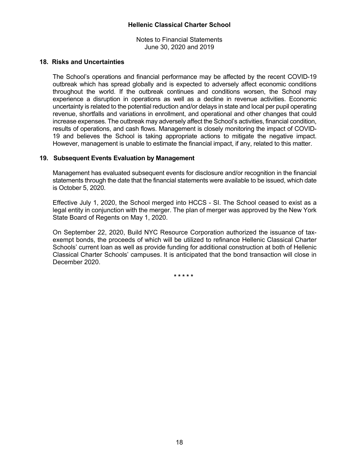# **18. Risks and Uncertainties**

The School's operations and financial performance may be affected by the recent COVID-19 outbreak which has spread globally and is expected to adversely affect economic conditions throughout the world. If the outbreak continues and conditions worsen, the School may experience a disruption in operations as well as a decline in revenue activities. Economic uncertainty is related to the potential reduction and/or delays in state and local per pupil operating revenue, shortfalls and variations in enrollment, and operational and other changes that could increase expenses. The outbreak may adversely affect the School's activities, financial condition, results of operations, and cash flows. Management is closely monitoring the impact of COVID-19 and believes the School is taking appropriate actions to mitigate the negative impact. However, management is unable to estimate the financial impact, if any, related to this matter.

# **19. Subsequent Events Evaluation by Management**

Management has evaluated subsequent events for disclosure and/or recognition in the financial statements through the date that the financial statements were available to be issued, which date is October 5, 2020.

Effective July 1, 2020, the School merged into HCCS - SI. The School ceased to exist as a legal entity in conjunction with the merger. The plan of merger was approved by the New York State Board of Regents on May 1, 2020.

On September 22, 2020, Build NYC Resource Corporation authorized the issuance of taxexempt bonds, the proceeds of which will be utilized to refinance Hellenic Classical Charter Schools' current loan as well as provide funding for additional construction at both of Hellenic Classical Charter Schools' campuses. It is anticipated that the bond transaction will close in December 2020.

**\* \* \* \* \***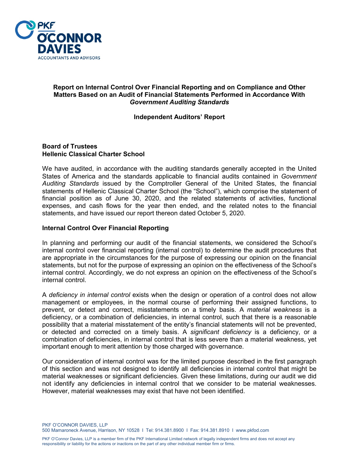

# **Report on Internal Control Over Financial Reporting and on Compliance and Other Matters Based on an Audit of Financial Statements Performed in Accordance With**  *Government Auditing Standards*

# **Independent Auditors' Report**

# **Board of Trustees Hellenic Classical Charter School**

We have audited, in accordance with the auditing standards generally accepted in the United States of America and the standards applicable to financial audits contained in *Government Auditing Standards* issued by the Comptroller General of the United States, the financial statements of Hellenic Classical Charter School (the "School"), which comprise the statement of financial position as of June 30, 2020, and the related statements of activities, functional expenses, and cash flows for the year then ended, and the related notes to the financial statements, and have issued our report thereon dated October 5, 2020.

# **Internal Control Over Financial Reporting**

In planning and performing our audit of the financial statements, we considered the School's internal control over financial reporting (internal control) to determine the audit procedures that are appropriate in the circumstances for the purpose of expressing our opinion on the financial statements, but not for the purpose of expressing an opinion on the effectiveness of the School's internal control. Accordingly, we do not express an opinion on the effectiveness of the School's internal control.

A *deficiency in internal control* exists when the design or operation of a control does not allow management or employees, in the normal course of performing their assigned functions, to prevent, or detect and correct, misstatements on a timely basis. A *material weakness* is a deficiency, or a combination of deficiencies, in internal control, such that there is a reasonable possibility that a material misstatement of the entity's financial statements will not be prevented, or detected and corrected on a timely basis. A *significant deficiency* is a deficiency, or a combination of deficiencies, in internal control that is less severe than a material weakness, yet important enough to merit attention by those charged with governance.

Our consideration of internal control was for the limited purpose described in the first paragraph of this section and was not designed to identify all deficiencies in internal control that might be material weaknesses or significant deficiencies. Given these limitations, during our audit we did not identify any deficiencies in internal control that we consider to be material weaknesses. However, material weaknesses may exist that have not been identified.